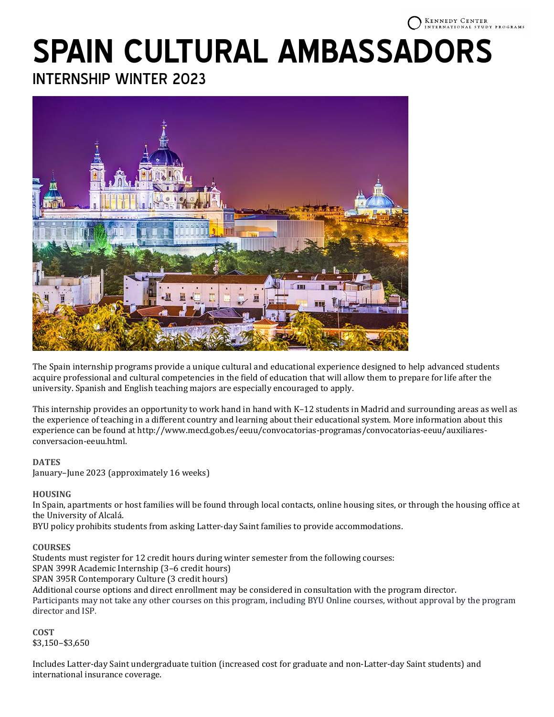#### **KENNEDY CENTER** TERNATIONAL STUDY PROGRAMS

# **SPAIN CULTURAL AMBASSADORS**

INTERNSHIP WINTER 2023



The Spain internship programs provide a unique cultural and educational experience designed to help advanced students acquire professional and cultural competencies in the field of education that will allow them to prepare for life after the university. Spanish and English teaching majors are especially encouraged to apply.

This internship provides an opportunity to work hand in hand with K–12 students in Madrid and surrounding areas as well as the experience of teaching in a different country and learning about their educational system. More information about this experience can be found at http://www.mecd.gob.es/eeuu/convocatorias-programas/convocatorias-eeuu/auxiliaresconversacion-eeuu.html.

# **DATES**

January–June 2023 (approximately 16 weeks)

## **HOUSING**

In Spain, apartments or host families will be found through local contacts, online housing sites, or through the housing office at the University of Alcalá.

BYU policy prohibits students from asking Latter-day Saint families to provide accommodations.

## **COURSES**

Students must register for 12 credit hours during winter semester from the following courses: SPAN 399R Academic Internship (3–6 credit hours) SPAN 395R Contemporary Culture (3 credit hours) Additional course options and direct enrollment may be considered in consultation with the program director. Participants may not take any other courses on this program, including BYU Online courses, without approval by the program director and ISP.

**COST** \$3,150–\$3,650

Includes Latter-day Saint undergraduate tuition (increased cost for graduate and non-Latter-day Saint students) and international insurance coverage.